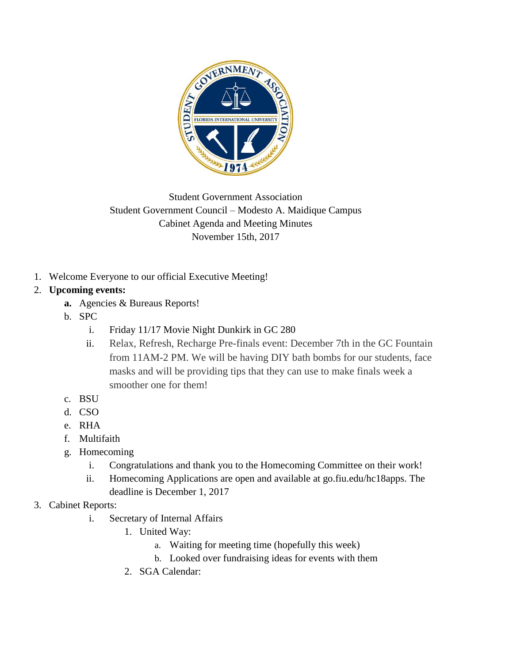

Student Government Association Student Government Council – Modesto A. Maidique Campus Cabinet Agenda and Meeting Minutes November 15th, 2017

1. Welcome Everyone to our official Executive Meeting!

## 2. **Upcoming events:**

- **a.** Agencies & Bureaus Reports!
- b. SPC
	- i. Friday 11/17 Movie Night Dunkirk in GC 280
	- ii. Relax, Refresh, Recharge Pre-finals event: December 7th in the GC Fountain from 11AM-2 PM. We will be having DIY bath bombs for our students, face masks and will be providing tips that they can use to make finals week a smoother one for them!
- c. BSU
- d. CSO
- e. RHA
- f. Multifaith
- g. Homecoming
	- i. Congratulations and thank you to the Homecoming Committee on their work!
	- ii. Homecoming Applications are open and available at go.fiu.edu/hc18apps. The deadline is December 1, 2017
- 3. Cabinet Reports:
	- i. Secretary of Internal Affairs
		- 1. United Way:
			- a. Waiting for meeting time (hopefully this week)
			- b. Looked over fundraising ideas for events with them
		- 2. SGA Calendar: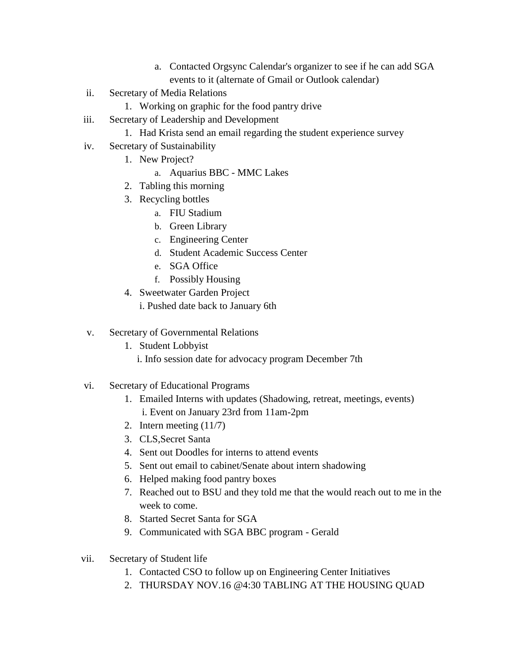- a. Contacted Orgsync Calendar's organizer to see if he can add SGA events to it (alternate of Gmail or Outlook calendar)
- ii. Secretary of Media Relations
	- 1. Working on graphic for the food pantry drive
- iii. Secretary of Leadership and Development
	- 1. Had Krista send an email regarding the student experience survey
- iv. Secretary of Sustainability
	- 1. New Project?
		- a. Aquarius BBC MMC Lakes
	- 2. Tabling this morning
	- 3. Recycling bottles
		- a. FIU Stadium
		- b. Green Library
		- c. Engineering Center
		- d. Student Academic Success Center
		- e. SGA Office
		- f. Possibly Housing
	- 4. Sweetwater Garden Project
		- i. Pushed date back to January 6th
- v. Secretary of Governmental Relations
	- 1. Student Lobbyist
		- i. Info session date for advocacy program December 7th
- vi. Secretary of Educational Programs
	- 1. Emailed Interns with updates (Shadowing, retreat, meetings, events) i. Event on January 23rd from 11am-2pm
	- 2. Intern meeting (11/7)
	- 3. CLS,Secret Santa
	- 4. Sent out Doodles for interns to attend events
	- 5. Sent out email to cabinet/Senate about intern shadowing
	- 6. Helped making food pantry boxes
	- 7. Reached out to BSU and they told me that the would reach out to me in the week to come.
	- 8. Started Secret Santa for SGA
	- 9. Communicated with SGA BBC program Gerald
- vii. Secretary of Student life
	- 1. Contacted CSO to follow up on Engineering Center Initiatives
	- 2. THURSDAY NOV.16 @4:30 TABLING AT THE HOUSING QUAD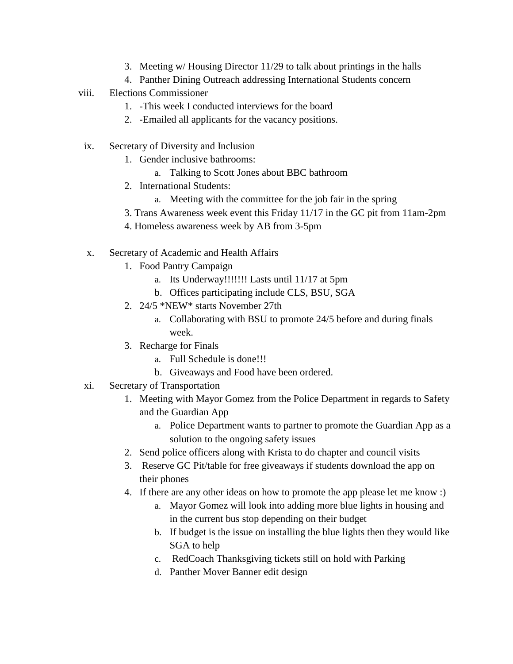- 3. Meeting w/ Housing Director 11/29 to talk about printings in the halls
- 4. Panther Dining Outreach addressing International Students concern
- viii. Elections Commissioner
	- 1. -This week I conducted interviews for the board
	- 2. -Emailed all applicants for the vacancy positions.
- ix. Secretary of Diversity and Inclusion
	- 1. Gender inclusive bathrooms:
		- a. Talking to Scott Jones about BBC bathroom
	- 2. International Students:
		- a. Meeting with the committee for the job fair in the spring
	- 3. Trans Awareness week event this Friday 11/17 in the GC pit from 11am-2pm
	- 4. Homeless awareness week by AB from 3-5pm
- x. Secretary of Academic and Health Affairs
	- 1. Food Pantry Campaign
		- a. Its Underway!!!!!!! Lasts until 11/17 at 5pm
		- b. Offices participating include CLS, BSU, SGA
	- 2. 24/5 \*NEW\* starts November 27th
		- a. Collaborating with BSU to promote 24/5 before and during finals week.
	- 3. Recharge for Finals
		- a. Full Schedule is done!!!
		- b. Giveaways and Food have been ordered.
- xi. Secretary of Transportation
	- 1. Meeting with Mayor Gomez from the Police Department in regards to Safety and the Guardian App
		- a. Police Department wants to partner to promote the Guardian App as a solution to the ongoing safety issues
	- 2. Send police officers along with Krista to do chapter and council visits
	- 3. Reserve GC Pit/table for free giveaways if students download the app on their phones
	- 4. If there are any other ideas on how to promote the app please let me know :)
		- a. Mayor Gomez will look into adding more blue lights in housing and in the current bus stop depending on their budget
		- b. If budget is the issue on installing the blue lights then they would like SGA to help
		- c. RedCoach Thanksgiving tickets still on hold with Parking
		- d. Panther Mover Banner edit design